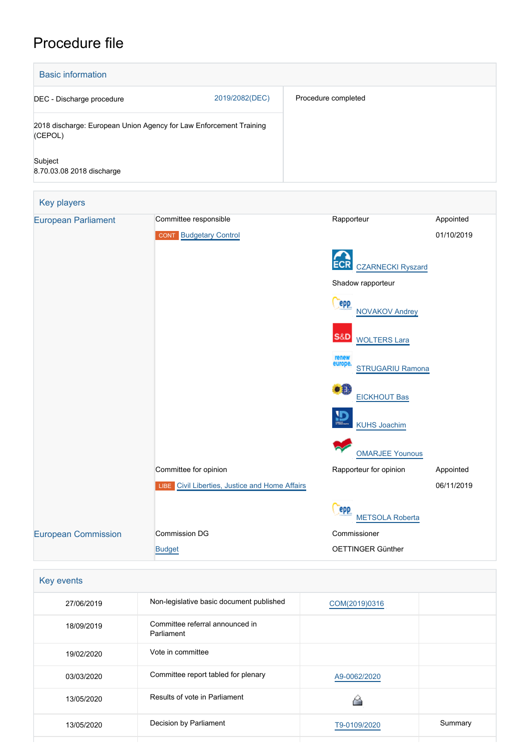# Procedure file

| <b>Basic information</b>             |                                                                    |                                               |            |  |
|--------------------------------------|--------------------------------------------------------------------|-----------------------------------------------|------------|--|
| DEC - Discharge procedure            | 2019/2082(DEC)                                                     | Procedure completed                           |            |  |
| (CEPOL)                              | 2018 discharge: European Union Agency for Law Enforcement Training |                                               |            |  |
| Subject<br>8.70.03.08 2018 discharge |                                                                    |                                               |            |  |
| Key players                          |                                                                    |                                               |            |  |
| <b>European Parliament</b>           | Committee responsible                                              | Rapporteur                                    | Appointed  |  |
|                                      | <b>CONT</b> Budgetary Control                                      |                                               | 01/10/2019 |  |
|                                      |                                                                    | <b>CZARNECKI Ryszard</b><br>Shadow rapporteur |            |  |
|                                      |                                                                    |                                               |            |  |
|                                      |                                                                    | <b>PPP</b><br><b>NOVAKOV Andrey</b>           |            |  |
|                                      |                                                                    | S&D<br><b>WOLTERS Lara</b>                    |            |  |
|                                      |                                                                    | renew<br>europe.<br><b>STRUGARIU Ramona</b>   |            |  |
|                                      |                                                                    | æ<br><b>EICKHOUT Bas</b>                      |            |  |
|                                      |                                                                    | <b>KUHS Joachim</b>                           |            |  |
|                                      |                                                                    | <b>OMARJEE Younous</b>                        |            |  |
|                                      | Committee for opinion                                              | Rapporteur for opinion                        | Appointed  |  |
|                                      | Civil Liberties, Justice and Home Affairs<br>LIBE                  |                                               | 06/11/2019 |  |
|                                      |                                                                    | epp<br><b>METSOLA Roberta</b>                 |            |  |
| <b>European Commission</b>           | Commission DG                                                      | Commissioner                                  |            |  |
|                                      | <b>Budget</b>                                                      | OETTINGER Günther                             |            |  |

| Key events |                                               |               |         |
|------------|-----------------------------------------------|---------------|---------|
| 27/06/2019 | Non-legislative basic document published      | COM(2019)0316 |         |
| 18/09/2019 | Committee referral announced in<br>Parliament |               |         |
| 19/02/2020 | Vote in committee                             |               |         |
| 03/03/2020 | Committee report tabled for plenary           | A9-0062/2020  |         |
| 13/05/2020 | Results of vote in Parliament                 |               |         |
| 13/05/2020 | Decision by Parliament                        | T9-0109/2020  | Summary |
|            |                                               |               |         |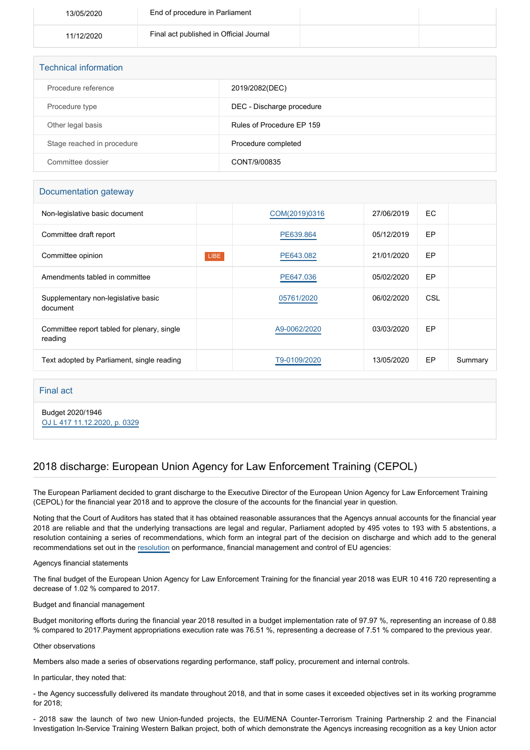| 13/05/2020 | End of procedure in Parliament          |  |
|------------|-----------------------------------------|--|
| 11/12/2020 | Final act published in Official Journal |  |

| <b>Technical information</b> |                           |
|------------------------------|---------------------------|
| Procedure reference          | 2019/2082(DEC)            |
| Procedure type               | DEC - Discharge procedure |
| Other legal basis            | Rules of Procedure EP 159 |
| Stage reached in procedure   | Procedure completed       |
| Committee dossier            | CONT/9/00835              |

## Documentation gateway

| Non-legislative basic document                         |             | COM(2019)0316 | 27/06/2019 | EC. |         |
|--------------------------------------------------------|-------------|---------------|------------|-----|---------|
| Committee draft report                                 |             | PE639.864     | 05/12/2019 | EP  |         |
| Committee opinion                                      | <b>LIBE</b> | PE643.082     | 21/01/2020 | EP  |         |
| Amendments tabled in committee                         |             | PE647.036     | 05/02/2020 | EP  |         |
| Supplementary non-legislative basic<br>document        |             | 05761/2020    | 06/02/2020 | CSL |         |
| Committee report tabled for plenary, single<br>reading |             | A9-0062/2020  | 03/03/2020 | EP  |         |
| Text adopted by Parliament, single reading             |             | T9-0109/2020  | 13/05/2020 | EP  | Summary |

## Final act

Budget 2020/1946 [OJ L 417 11.12.2020, p. 0329](https://eur-lex.europa.eu/legal-content/EN/TXT/?uri=OJ:L:2020:417:TOC)

# 2018 discharge: European Union Agency for Law Enforcement Training (CEPOL)

The European Parliament decided to grant discharge to the Executive Director of the European Union Agency for Law Enforcement Training (CEPOL) for the financial year 2018 and to approve the closure of the accounts for the financial year in question.

Noting that the Court of Auditors has stated that it has obtained reasonable assurances that the Agencys annual accounts for the financial year 2018 are reliable and that the underlying transactions are legal and regular, Parliament adopted by 495 votes to 193 with 5 abstentions, a resolution containing a series of recommendations, which form an integral part of the decision on discharge and which add to the general recommendations set out in the [resolution](https://oeil.secure.europarl.europa.eu/oeil/popups/ficheprocedure.do?lang=en&reference=2019/2098(DEC)) on performance, financial management and control of EU agencies:

#### Agencys financial statements

The final budget of the European Union Agency for Law Enforcement Training for the financial year 2018 was EUR 10 416 720 representing a decrease of 1.02 % compared to 2017.

#### Budget and financial management

Budget monitoring efforts during the financial year 2018 resulted in a budget implementation rate of 97.97 %, representing an increase of 0.88 % compared to 2017.Payment appropriations execution rate was 76.51 %, representing a decrease of 7.51 % compared to the previous year.

#### Other observations

Members also made a series of observations regarding performance, staff policy, procurement and internal controls.

#### In particular, they noted that:

- the Agency successfully delivered its mandate throughout 2018, and that in some cases it exceeded objectives set in its working programme for 2018;

- 2018 saw the launch of two new Union-funded projects, the EU/MENA Counter-Terrorism Training Partnership 2 and the Financial Investigation In-Service Training Western Balkan project, both of which demonstrate the Agencys increasing recognition as a key Union actor